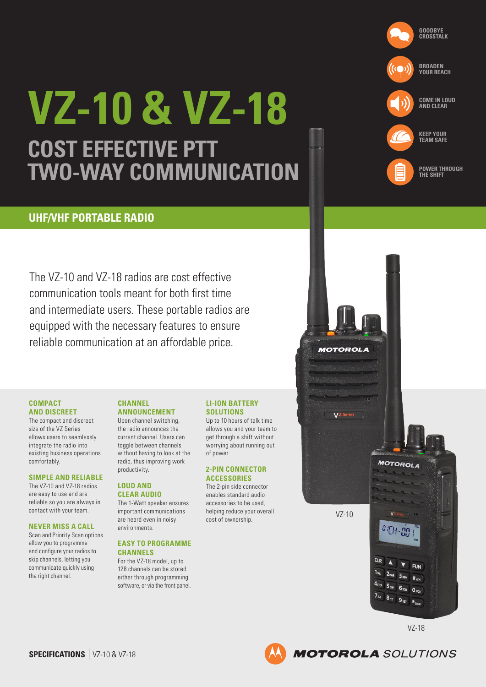

# **POWER THROUGH THE SHIFT**

## **UHF/VHF PORTABLE RADIO**

The VZ-10 and VZ-18 radios are cost effective communication tools meant for both first time and intermediate users. These portable radios are equipped with the necessary features to ensure reliable communication at an affordable price.

**VZ-10 & VZ-18**

**TWO-WAY COMMUNICATION**

**COST EFFECTIVE PTT** 

### **COMPACT AND DISCREET**

The compact and discreet size of the VZ Series allows users to seamlessly integrate the radio into existing business operations comfortably.

## **SIMPLE AND RELIABLE**

The VZ-10 and VZ-18 radios are easy to use and are reliable so you are always in contact with your team.

#### **NEVER MISS A CALL**

Scan and Priority Scan options allow you to programme and configure your radios to skip channels, letting you communicate quickly using the right channel.

#### **CHANNEL ANNOUNCEMENT**

Upon channel switching, the radio announces the current channel. Users can toggle between channels without having to look at the radio, thus improving work productivity.

## **LOUD AND CLEAR AUDIO**

The 1-Watt speaker ensures important communications are heard even in noisy environments.

## **EASY TO PROGRAMME CHANNELS**

For the VZ-18 model, up to 128 channels can be stored either through programming software, or via the front panel.

#### **LI-ION BATTERY SOLUTIONS**

Up to 10 hours of talk time allows you and your team to get through a shift without worrying about running out of power.

## **2-PIN CONNECTOR ACCESSORIES**

The 2-pin side connector enables standard audio accessories to be used, helping reduce your overall cost of ownership. VZ-10



VZ-18

**MOTOROLA** SOLUTIONS